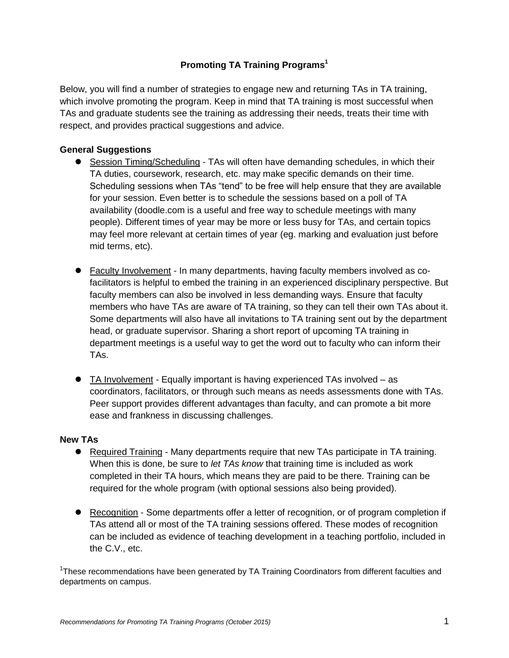## **Promoting TA Training Programs<sup>1</sup>**

Below, you will find a number of strategies to engage new and returning TAs in TA training, which involve promoting the program. Keep in mind that TA training is most successful when TAs and graduate students see the training as addressing their needs, treats their time with respect, and provides practical suggestions and advice.

## **General Suggestions**

- Session Timing/Scheduling TAs will often have demanding schedules, in which their TA duties, coursework, research, etc. may make specific demands on their time. Scheduling sessions when TAs "tend" to be free will help ensure that they are available for your session. Even better is to schedule the sessions based on a poll of TA availability (doodle.com is a useful and free way to schedule meetings with many people). Different times of year may be more or less busy for TAs, and certain topics may feel more relevant at certain times of year (eg. marking and evaluation just before mid terms, etc).
- Faculty Involvement In many departments, having faculty members involved as cofacilitators is helpful to embed the training in an experienced disciplinary perspective. But faculty members can also be involved in less demanding ways. Ensure that faculty members who have TAs are aware of TA training, so they can tell their own TAs about it. Some departments will also have all invitations to TA training sent out by the department head, or graduate supervisor. Sharing a short report of upcoming TA training in department meetings is a useful way to get the word out to faculty who can inform their TAs.
- TA Involvement Equally important is having experienced TAs involved as coordinators, facilitators, or through such means as needs assessments done with TAs. Peer support provides different advantages than faculty, and can promote a bit more ease and frankness in discussing challenges.

## **New TAs**

- Required Training Many departments require that new TAs participate in TA training. When this is done, be sure to *let TAs know* that training time is included as work completed in their TA hours, which means they are paid to be there. Training can be required for the whole program (with optional sessions also being provided).
- Recognition Some departments offer a letter of recognition, or of program completion if TAs attend all or most of the TA training sessions offered. These modes of recognition can be included as evidence of teaching development in a teaching portfolio, included in the C.V., etc.

<sup>1</sup>These recommendations have been generated by TA Training Coordinators from different faculties and departments on campus.